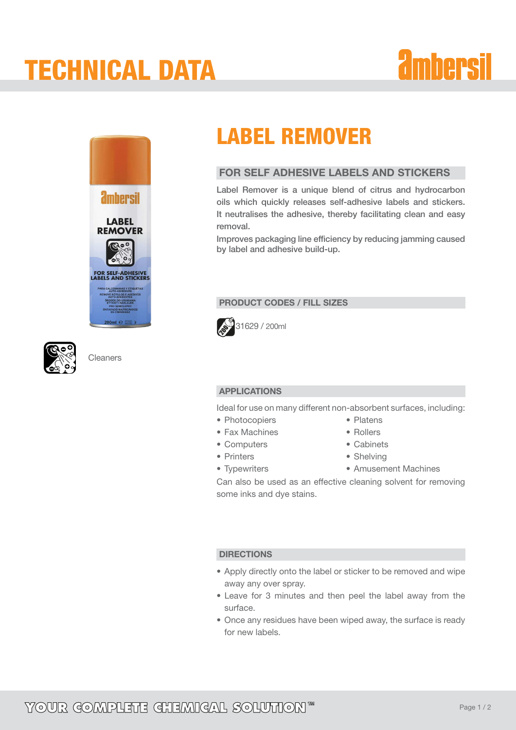### TECHNICAL DATA

# *<u>ambersil</u>*





**Cleaners** 

### LABEL REMOVER

### FOR SELF ADHESIVE LABELS AND STICKERS

Label Remover is a unique blend of citrus and hydrocarbon oils which quickly releases self-adhesive labels and stickers. It neutralises the adhesive, thereby facilitating clean and easy removal.

Improves packaging line efficiency by reducing jamming caused by label and adhesive build-up.

### PRODUCT CODES / FILL SIZES



### APPLICATIONS

Ideal for use on many different non-absorbent surfaces, including:

- Photocopiers
- Fax Machines
- • Computers
- • Printers
- • Typewriters
- Platens
- • Rollers
- Cabinets
- Shelving
- Amusement Machines

Can also be used as an effective cleaning solvent for removing some inks and dye stains.

### **DIRECTIONS**

- Apply directly onto the label or sticker to be removed and wipe away any over spray.
- Leave for 3 minutes and then peel the label away from the surface.
- Once any residues have been wiped away, the surface is ready for new labels.